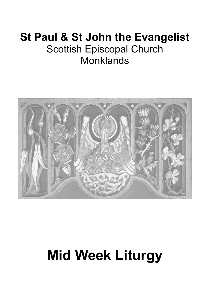# **St Paul & St John the Evangelist** Scottish Episcopal Church **Monklands**



# **Mid Week Liturgy**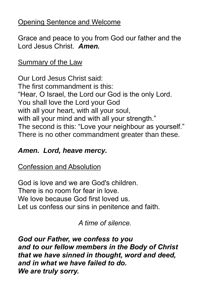# Opening Sentence and Welcome

Grace and peace to you from God our father and the Lord Jesus Christ. *Amen.*

Summary of the Law

Our Lord Jesus Christ said: The first commandment is this: "Hear, O Israel, the Lord our God is the only Lord. You shall love the Lord your God with all your heart, with all your soul, with all your mind and with all your strength." The second is this: "Love your neighbour as yourself." There is no other commandment greater than these.

# *Amen. Lord, heave mercy.*

Confession and Absolution

God is love and we are God's children. There is no room for fear in love. We love because God first loved us. Let us confess our sins in penitence and faith.

*A time of silence.*

*God our Father, we confess to you and to our fellow members in the Body of Christ that we have sinned in thought, word and deed, and in what we have failed to do. We are truly sorry.*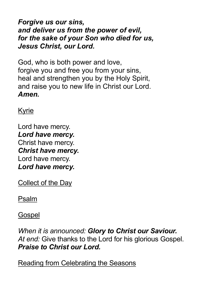*Forgive us our sins, and deliver us from the power of evil, for the sake of your Son who died for us, Jesus Christ, our Lord.*

God, who is both power and love, forgive you and free you from your sins. heal and strengthen you by the Holy Spirit, and raise you to new life in Christ our Lord. *Amen.*

Kyrie

Lord have mercy. *Lord have mercy.* Christ have mercy. *Christ have mercy.* Lord have mercy. *Lord have mercy.*

Collect of the Day

Psalm

**Gospel** 

*When it is announced: Glory to Christ our Saviour. At end:* Give thanks to the Lord for his glorious Gospel. *Praise to Christ our Lord.*

Reading from Celebrating the Seasons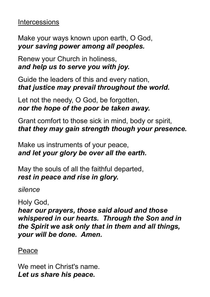#### **Intercessions**

Make your ways known upon earth, O God, *your saving power among all peoples.*

Renew your Church in holiness, *and help us to serve you with joy.*

Guide the leaders of this and every nation, *that justice may prevail throughout the world.*

Let not the needy, O God, be forgotten, *nor the hope of the poor be taken away.*

Grant comfort to those sick in mind, body or spirit, *that they may gain strength though your presence.*

Make us instruments of your peace, *and let your glory be over all the earth.*

May the souls of all the faithful departed, *rest in peace and rise in glory.*

*silence*

Holy God,

*hear our prayers, those said aloud and those whispered in our hearts. Through the Son and in the Spirit we ask only that in them and all things, your will be done. Amen.*

#### Peace

We meet in Christ's name. *Let us share his peace.*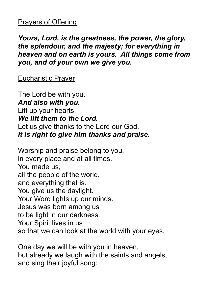## Prayers of Offering

*Yours, Lord, is the greatness, the power, the glory, the splendour, and the majesty; for everything in heaven and on earth is yours. All things come from you, and of your own we give you.*

Eucharistic Prayer

The Lord be with you. *And also with you.* Lift up your hearts. *We lift them to the Lord.* Let us give thanks to the Lord our God. *It is right to give him thanks and praise.*

Worship and praise belong to you, in every place and at all times. You made us, all the people of the world, and everything that is. You give us the daylight. Your Word lights up our minds. Jesus was born among us to be light in our darkness. Your Spirit lives in us so that we can look at the world with your eyes.

One day we will be with you in heaven, but already we laugh with the saints and angels, and sing their joyful song: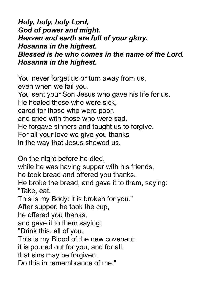*Holy, holy, holy Lord, God of power and might. Heaven and earth are full of your glory. Hosanna in the highest. Blessed is he who comes in the name of the Lord. Hosanna in the highest.*

You never forget us or turn away from us, even when we fail you. You sent your Son Jesus who gave his life for us. He healed those who were sick, cared for those who were poor, and cried with those who were sad. He forgave sinners and taught us to forgive. For all your love we give you thanks in the way that Jesus showed us.

On the night before he died, while he was having supper with his friends, he took bread and offered you thanks. He broke the bread, and gave it to them, saying: "Take, eat. This is my Body: it is broken for you." After supper, he took the cup, he offered you thanks, and gave it to them saying: "Drink this, all of you. This is my Blood of the new covenant; it is poured out for you, and for all, that sins may be forgiven. Do this in remembrance of me."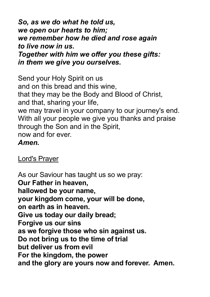*So, as we do what he told us, we open our hearts to him; we remember how he died and rose again to live now in us. Together with him we offer you these gifts: in them we give you ourselves.*

Send your Holy Spirit on us and on this bread and this wine, that they may be the Body and Blood of Christ, and that, sharing your life, we may travel in your company to our journey's end. With all your people we give you thanks and praise through the Son and in the Spirit, now and for ever. *Amen.*

Lord's Prayer

As our Saviour has taught us so we pray: **Our Father in heaven, hallowed be your name, your kingdom come, your will be done, on earth as in heaven. Give us today our daily bread; Forgive us our sins as we forgive those who sin against us. Do not bring us to the time of trial but deliver us from evil For the kingdom, the power and the glory are yours now and forever. Amen.**